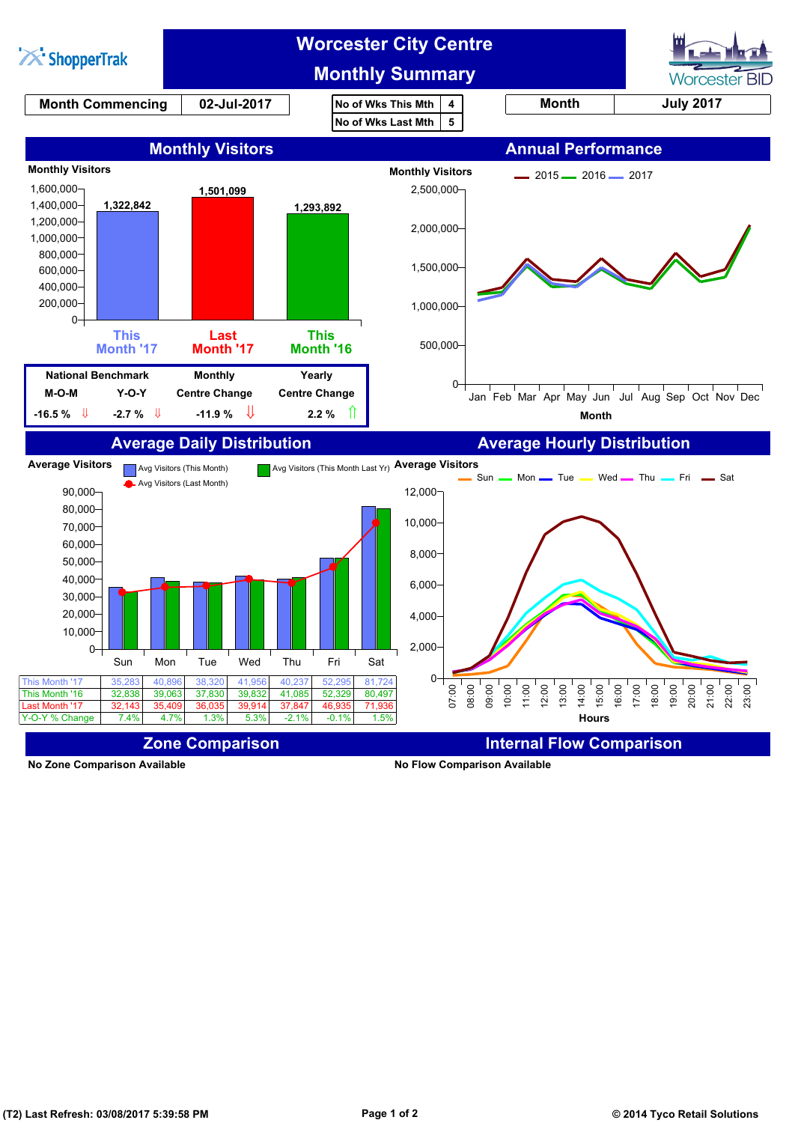

**No Zone Comparison Available No Flow Comparison Available**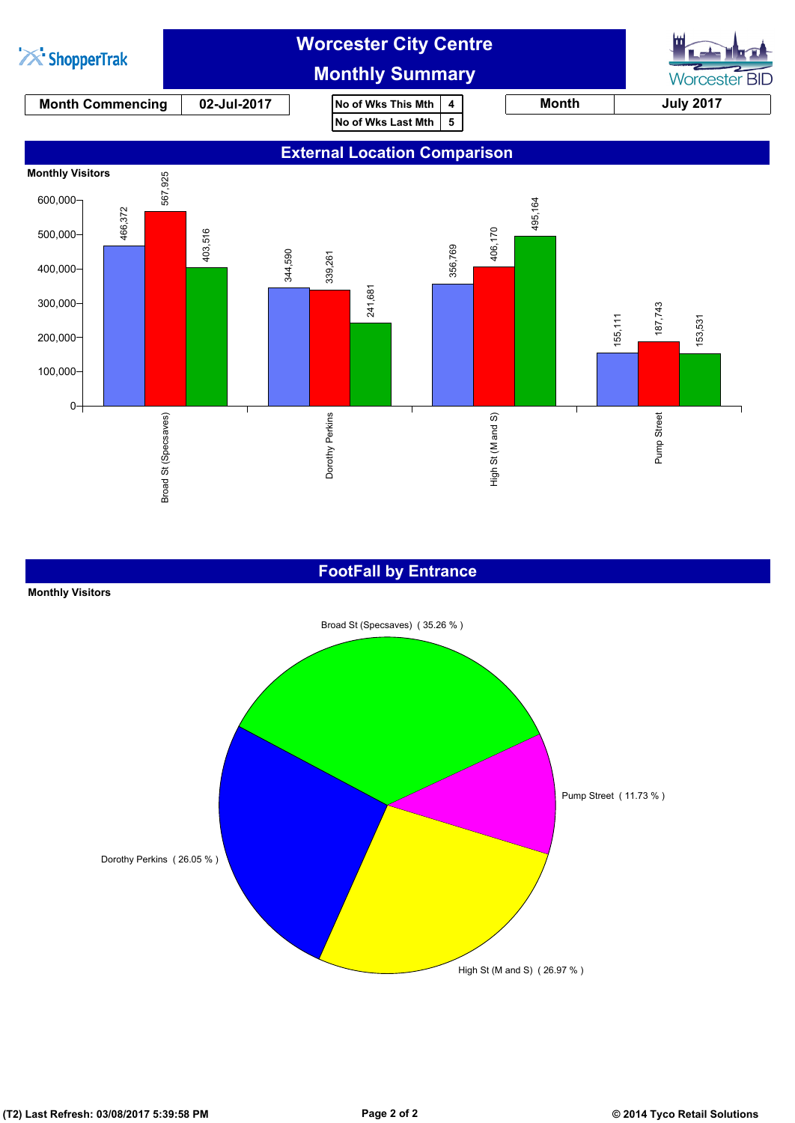

#### **FootFall by Entrance**

#### **Monthly Visitors**

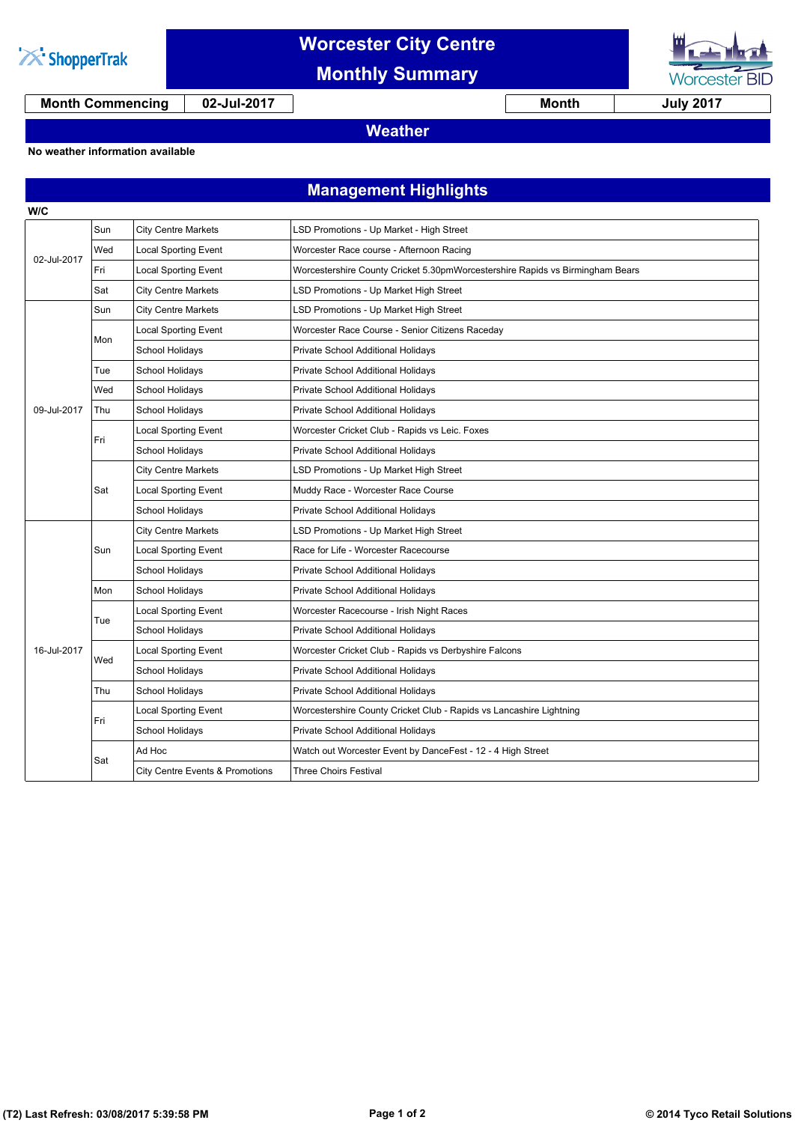

## **Worcester City Centre**

**Monthly Summary**

**Month Commencing 02-Jul-2017 Month July 2017**

**Worcester BID** 

### **Weather**

**No weather information available**

### **Management Highlights**

| <b>City Centre Markets</b><br>LSD Promotions - Up Market - High Street<br>Sun<br>Wed<br><b>Local Sporting Event</b><br>Worcester Race course - Afternoon Racing<br>02-Jul-2017<br>Fri<br><b>Local Sporting Event</b><br>Worcestershire County Cricket 5.30pmWorcestershire Rapids vs Birmingham Bears<br>Sat<br><b>City Centre Markets</b><br>LSD Promotions - Up Market High Street<br><b>City Centre Markets</b><br>LSD Promotions - Up Market High Street<br>Sun<br><b>Local Sporting Event</b><br>Worcester Race Course - Senior Citizens Raceday<br>Mon<br>School Holidays<br>Private School Additional Holidays<br>Tue<br>School Holidays<br>Private School Additional Holidays<br>Wed<br>School Holidays<br>Private School Additional Holidays<br>09-Jul-2017<br>Thu<br>School Holidays<br>Private School Additional Holidays<br><b>Local Sporting Event</b><br>Worcester Cricket Club - Rapids vs Leic. Foxes<br>Fri<br><b>School Holidays</b><br>Private School Additional Holidays<br><b>City Centre Markets</b><br>LSD Promotions - Up Market High Street<br><b>Local Sporting Event</b><br>Muddy Race - Worcester Race Course<br>Sat<br>School Holidays<br>Private School Additional Holidays<br><b>City Centre Markets</b><br>LSD Promotions - Up Market High Street<br><b>Local Sporting Event</b><br>Race for Life - Worcester Racecourse<br>Sun<br>School Holidays<br>Private School Additional Holidays<br>School Holidays<br>Mon<br>Private School Additional Holidays<br><b>Local Sporting Event</b><br>Worcester Racecourse - Irish Night Races |
|---------------------------------------------------------------------------------------------------------------------------------------------------------------------------------------------------------------------------------------------------------------------------------------------------------------------------------------------------------------------------------------------------------------------------------------------------------------------------------------------------------------------------------------------------------------------------------------------------------------------------------------------------------------------------------------------------------------------------------------------------------------------------------------------------------------------------------------------------------------------------------------------------------------------------------------------------------------------------------------------------------------------------------------------------------------------------------------------------------------------------------------------------------------------------------------------------------------------------------------------------------------------------------------------------------------------------------------------------------------------------------------------------------------------------------------------------------------------------------------------------------------------------------------------------------------------|
|                                                                                                                                                                                                                                                                                                                                                                                                                                                                                                                                                                                                                                                                                                                                                                                                                                                                                                                                                                                                                                                                                                                                                                                                                                                                                                                                                                                                                                                                                                                                                                     |
|                                                                                                                                                                                                                                                                                                                                                                                                                                                                                                                                                                                                                                                                                                                                                                                                                                                                                                                                                                                                                                                                                                                                                                                                                                                                                                                                                                                                                                                                                                                                                                     |
|                                                                                                                                                                                                                                                                                                                                                                                                                                                                                                                                                                                                                                                                                                                                                                                                                                                                                                                                                                                                                                                                                                                                                                                                                                                                                                                                                                                                                                                                                                                                                                     |
|                                                                                                                                                                                                                                                                                                                                                                                                                                                                                                                                                                                                                                                                                                                                                                                                                                                                                                                                                                                                                                                                                                                                                                                                                                                                                                                                                                                                                                                                                                                                                                     |
|                                                                                                                                                                                                                                                                                                                                                                                                                                                                                                                                                                                                                                                                                                                                                                                                                                                                                                                                                                                                                                                                                                                                                                                                                                                                                                                                                                                                                                                                                                                                                                     |
|                                                                                                                                                                                                                                                                                                                                                                                                                                                                                                                                                                                                                                                                                                                                                                                                                                                                                                                                                                                                                                                                                                                                                                                                                                                                                                                                                                                                                                                                                                                                                                     |
|                                                                                                                                                                                                                                                                                                                                                                                                                                                                                                                                                                                                                                                                                                                                                                                                                                                                                                                                                                                                                                                                                                                                                                                                                                                                                                                                                                                                                                                                                                                                                                     |
|                                                                                                                                                                                                                                                                                                                                                                                                                                                                                                                                                                                                                                                                                                                                                                                                                                                                                                                                                                                                                                                                                                                                                                                                                                                                                                                                                                                                                                                                                                                                                                     |
|                                                                                                                                                                                                                                                                                                                                                                                                                                                                                                                                                                                                                                                                                                                                                                                                                                                                                                                                                                                                                                                                                                                                                                                                                                                                                                                                                                                                                                                                                                                                                                     |
|                                                                                                                                                                                                                                                                                                                                                                                                                                                                                                                                                                                                                                                                                                                                                                                                                                                                                                                                                                                                                                                                                                                                                                                                                                                                                                                                                                                                                                                                                                                                                                     |
|                                                                                                                                                                                                                                                                                                                                                                                                                                                                                                                                                                                                                                                                                                                                                                                                                                                                                                                                                                                                                                                                                                                                                                                                                                                                                                                                                                                                                                                                                                                                                                     |
|                                                                                                                                                                                                                                                                                                                                                                                                                                                                                                                                                                                                                                                                                                                                                                                                                                                                                                                                                                                                                                                                                                                                                                                                                                                                                                                                                                                                                                                                                                                                                                     |
|                                                                                                                                                                                                                                                                                                                                                                                                                                                                                                                                                                                                                                                                                                                                                                                                                                                                                                                                                                                                                                                                                                                                                                                                                                                                                                                                                                                                                                                                                                                                                                     |
|                                                                                                                                                                                                                                                                                                                                                                                                                                                                                                                                                                                                                                                                                                                                                                                                                                                                                                                                                                                                                                                                                                                                                                                                                                                                                                                                                                                                                                                                                                                                                                     |
|                                                                                                                                                                                                                                                                                                                                                                                                                                                                                                                                                                                                                                                                                                                                                                                                                                                                                                                                                                                                                                                                                                                                                                                                                                                                                                                                                                                                                                                                                                                                                                     |
|                                                                                                                                                                                                                                                                                                                                                                                                                                                                                                                                                                                                                                                                                                                                                                                                                                                                                                                                                                                                                                                                                                                                                                                                                                                                                                                                                                                                                                                                                                                                                                     |
|                                                                                                                                                                                                                                                                                                                                                                                                                                                                                                                                                                                                                                                                                                                                                                                                                                                                                                                                                                                                                                                                                                                                                                                                                                                                                                                                                                                                                                                                                                                                                                     |
|                                                                                                                                                                                                                                                                                                                                                                                                                                                                                                                                                                                                                                                                                                                                                                                                                                                                                                                                                                                                                                                                                                                                                                                                                                                                                                                                                                                                                                                                                                                                                                     |
|                                                                                                                                                                                                                                                                                                                                                                                                                                                                                                                                                                                                                                                                                                                                                                                                                                                                                                                                                                                                                                                                                                                                                                                                                                                                                                                                                                                                                                                                                                                                                                     |
| Tue                                                                                                                                                                                                                                                                                                                                                                                                                                                                                                                                                                                                                                                                                                                                                                                                                                                                                                                                                                                                                                                                                                                                                                                                                                                                                                                                                                                                                                                                                                                                                                 |
| School Holidays<br>Private School Additional Holidays                                                                                                                                                                                                                                                                                                                                                                                                                                                                                                                                                                                                                                                                                                                                                                                                                                                                                                                                                                                                                                                                                                                                                                                                                                                                                                                                                                                                                                                                                                               |
| <b>Local Sporting Event</b><br>16-Jul-2017<br>Worcester Cricket Club - Rapids vs Derbyshire Falcons<br>Wed                                                                                                                                                                                                                                                                                                                                                                                                                                                                                                                                                                                                                                                                                                                                                                                                                                                                                                                                                                                                                                                                                                                                                                                                                                                                                                                                                                                                                                                          |
| School Holidays<br>Private School Additional Holidays                                                                                                                                                                                                                                                                                                                                                                                                                                                                                                                                                                                                                                                                                                                                                                                                                                                                                                                                                                                                                                                                                                                                                                                                                                                                                                                                                                                                                                                                                                               |
| School Holidays<br>Private School Additional Holidays<br>Thu                                                                                                                                                                                                                                                                                                                                                                                                                                                                                                                                                                                                                                                                                                                                                                                                                                                                                                                                                                                                                                                                                                                                                                                                                                                                                                                                                                                                                                                                                                        |
| <b>Local Sporting Event</b><br>Worcestershire County Cricket Club - Rapids vs Lancashire Lightning<br>Fri                                                                                                                                                                                                                                                                                                                                                                                                                                                                                                                                                                                                                                                                                                                                                                                                                                                                                                                                                                                                                                                                                                                                                                                                                                                                                                                                                                                                                                                           |
| School Holidays<br>Private School Additional Holidays                                                                                                                                                                                                                                                                                                                                                                                                                                                                                                                                                                                                                                                                                                                                                                                                                                                                                                                                                                                                                                                                                                                                                                                                                                                                                                                                                                                                                                                                                                               |
| Ad Hoc<br>Watch out Worcester Event by DanceFest - 12 - 4 High Street<br>Sat                                                                                                                                                                                                                                                                                                                                                                                                                                                                                                                                                                                                                                                                                                                                                                                                                                                                                                                                                                                                                                                                                                                                                                                                                                                                                                                                                                                                                                                                                        |
| <b>City Centre Events &amp; Promotions</b><br><b>Three Choirs Festival</b>                                                                                                                                                                                                                                                                                                                                                                                                                                                                                                                                                                                                                                                                                                                                                                                                                                                                                                                                                                                                                                                                                                                                                                                                                                                                                                                                                                                                                                                                                          |